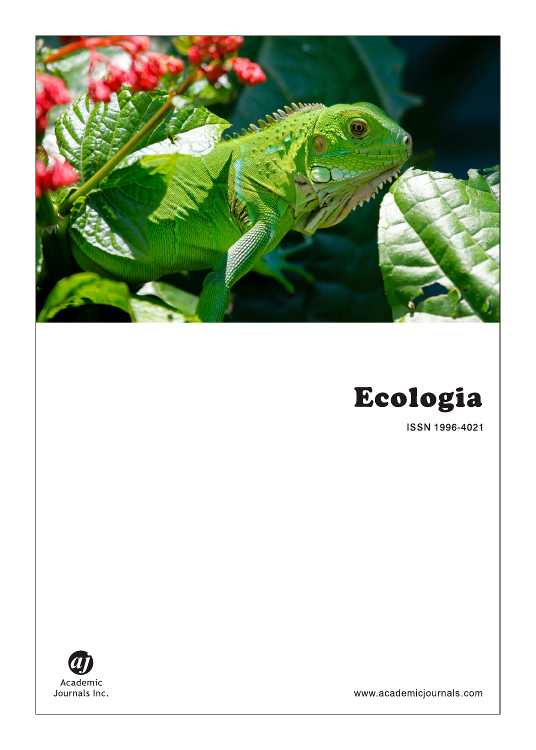

ISSN 1996-4021



www.academicjournals.com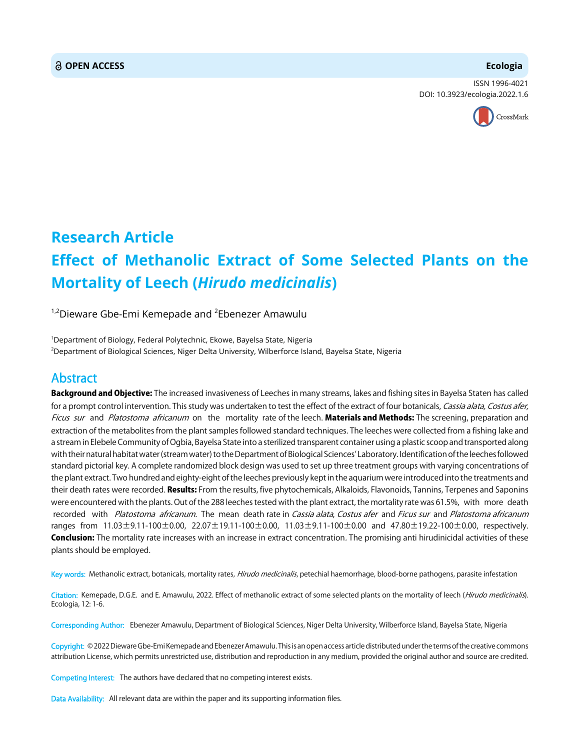### **OPEN ACCESS Ecologia**

ISSN 1996-4021 DOI: 10.3923/ecologia.2022.1.6



# **Research Article Effect of Methanolic Extract of Some Selected Plants on the Mortality of Leech (***Hirudo medicinalis***)**

 $^{1,2}$ Dieware Gbe-Emi Kemepade and  $^2$ Ebenezer Amawulu

1 Department of Biology, Federal Polytechnic, Ekowe, Bayelsa State, Nigeria 2 Department of Biological Sciences, Niger Delta University, Wilberforce Island, Bayelsa State, Nigeria

## Abstract

Background and Objective: The increased invasiveness of Leeches in many streams, lakes and fishing sites in Bayelsa Staten has called for a prompt control intervention. This study was undertaken to test the effect of the extract of four botanicals, Cassia alata, Costus afer, Ficus sur and Platostoma africanum on the mortality rate of the leech. Materials and Methods: The screening, preparation and extraction of the metabolites from the plant samples followed standard techniques. The leeches were collected from a fishing lake and a stream in Elebele Community of Ogbia, Bayelsa State into a sterilized transparent container using a plastic scoop and transported along with their natural habitat water (stream water) to the Department of Biological Sciences' Laboratory. Identification of the leeches followed standard pictorial key. A complete randomized block design was used to set up three treatment groups with varying concentrations of the plant extract. Two hundred and eighty-eight of the leeches previously kept in the aquarium were introduced into the treatments and their death rates were recorded. Results: From the results, five phytochemicals, Alkaloids, Flavonoids, Tannins, Terpenes and Saponins were encountered with the plants. Out of the 288 leeches tested with the plant extract, the mortality rate was 61.5%, with more death recorded with Platostoma africanum. The mean death rate in Cassia alata, Costus afer and Ficus sur and Platostoma africanum ranges from 11.03±9.11-100±0.00, 22.07±19.11-100±0.00, 11.03±9.11-100±0.00 and 47.80±19.22-100±0.00, respectively. Conclusion: The mortality rate increases with an increase in extract concentration. The promising anti hirudinicidal activities of these plants should be employed.

Key words: Methanolic extract, botanicals, mortality rates, *Hirudo medicinalis*, petechial haemorrhage, blood-borne pathogens, parasite infestation

Citation: Kemepade, D.G.E. and E. Amawulu, 2022. Effect of methanolic extract of some selected plants on the mortality of leech (*Hirudo medicinalis*). Ecologia, 12: 1-6.

Corresponding Author: Ebenezer Amawulu, Department of Biological Sciences, Niger Delta University, Wilberforce Island, Bayelsa State, Nigeria

Copyright: © 2022 Dieware Gbe-Emi Kemepade and Ebenezer Amawulu. This is an open access article distributed under the terms of the creative commons attribution License, which permits unrestricted use, distribution and reproduction in any medium, provided the original author and source are credited.

Competing Interest: The authors have declared that no competing interest exists.

Data Availability: All relevant data are within the paper and its supporting information files.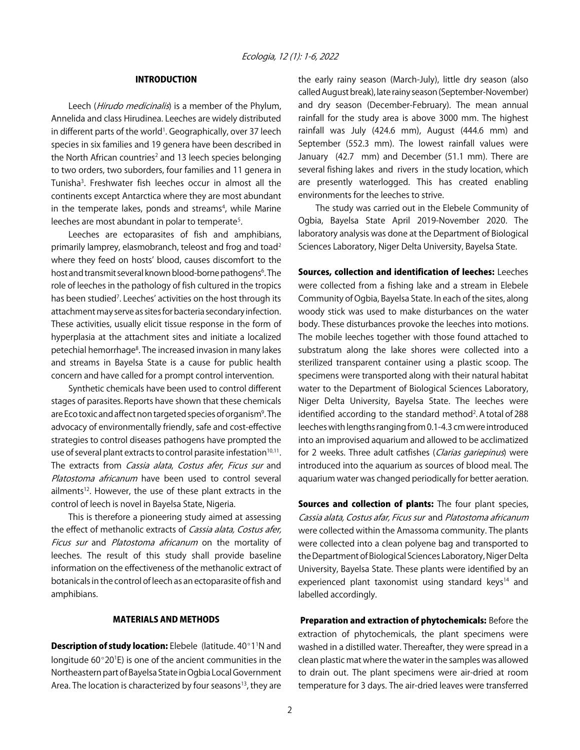#### INTRODUCTION

Leech (Hirudo medicinalis) is a member of the Phylum, Annelida and class Hirudinea. Leeches are widely distributed in different parts of the world<sup>1</sup>. Geographically, over 37 leech species in six families and 19 genera have been described in the North African countries<sup>2</sup> and 13 leech species belonging to two orders, two suborders, four families and 11 genera in Tunisha3 . Freshwater fish leeches occur in almost all the continents except Antarctica where they are most abundant in the temperate lakes, ponds and streams<sup>4</sup>, while Marine leeches are most abundant in polar to temperate<sup>5</sup>.

Leeches are ectoparasites of fish and amphibians, primarily lamprey, elasmobranch, teleost and frog and toad<sup>2</sup> where they feed on hosts' blood, causes discomfort to the host and transmit several known blood-borne pathogens<sup>6</sup>. The role of leeches in the pathology of fish cultured in the tropics has been studied<sup>7</sup>. Leeches' activities on the host through its attachment may serve as sites for bacteria secondary infection. These activities, usually elicit tissue response in the form of hyperplasia at the attachment sites and initiate a localized petechial hemorrhage<sup>8</sup>. The increased invasion in many lakes and streams in Bayelsa State is a cause for public health concern and have called for a prompt control intervention.

Synthetic chemicals have been used to control different stages of parasites. Reports have shown that these chemicals are Eco toxic and affect non targeted species of organism<sup>9</sup>. The advocacy of environmentally friendly, safe and cost-effective strategies to control diseases pathogens have prompted the use of several plant extracts to control parasite infestation<sup>10,11</sup>. The extracts from *Cassia alata, Costus afer, Ficus sur* and Platostoma africanum have been used to control several ailments<sup>12</sup>. However, the use of these plant extracts in the control of leech is novel in Bayelsa State, Nigeria.

This is therefore a pioneering study aimed at assessing the effect of methanolic extracts of Cassia alata, Costus afer, Ficus sur and Platostoma africanum on the mortality of leeches. The result of this study shall provide baseline information on the effectiveness of the methanolic extract of botanicals in the control of leech as an ectoparasite of fish and amphibians.

#### MATERIALS AND METHODS

Description of study location: Elebele (latitude. 40°1<sup>1</sup>N and longitude 60 $^{\circ}$ 20<sup>1</sup>E) is one of the ancient communities in the Northeastern part of Bayelsa State in Ogbia Local Government Area. The location is characterized by four seasons<sup>13</sup>, they are

the early rainy season (March-July), little dry season (also called August break), late rainy season (September-November) and dry season (December-February). The mean annual rainfall for the study area is above 3000 mm. The highest rainfall was July (424.6 mm), August (444.6 mm) and September (552.3 mm). The lowest rainfall values were January (42.7 mm) and December (51.1 mm). There are several fishing lakes and rivers in the study location, which are presently waterlogged. This has created enabling environments for the leeches to strive.

The study was carried out in the Elebele Community of Ogbia, Bayelsa State April 2019-November 2020. The laboratory analysis was done at the Department of Biological Sciences Laboratory, Niger Delta University, Bayelsa State.

Sources, collection and identification of leeches: Leeches were collected from a fishing lake and a stream in Elebele Community of Ogbia, Bayelsa State. In each of the sites, along woody stick was used to make disturbances on the water body. These disturbances provoke the leeches into motions. The mobile leeches together with those found attached to substratum along the lake shores were collected into a sterilized transparent container using a plastic scoop. The specimens were transported along with their natural habitat water to the Department of Biological Sciences Laboratory, Niger Delta University, Bayelsa State. The leeches were identified according to the standard method<sup>2</sup>. A total of 288 leeches with lengths ranging from 0.1-4.3 cm were introduced into an improvised aquarium and allowed to be acclimatized for 2 weeks. Three adult catfishes (Clarias gariepinus) were introduced into the aquarium as sources of blood meal. The aquarium water was changed periodically for better aeration.

Sources and collection of plants: The four plant species, Cassia alata, Costus afar, Ficus sur and Platostoma africanum were collected within the Amassoma community. The plants were collected into a clean polyene bag and transported to the Department of Biological Sciences Laboratory, Niger Delta University, Bayelsa State. These plants were identified by an experienced plant taxonomist using standard keys<sup>14</sup> and labelled accordingly.

 Preparation and extraction of phytochemicals: Before the extraction of phytochemicals, the plant specimens were washed in a distilled water. Thereafter, they were spread in a clean plastic mat where the water in the samples was allowed to drain out. The plant specimens were air-dried at room temperature for 3 days. The air-dried leaves were transferred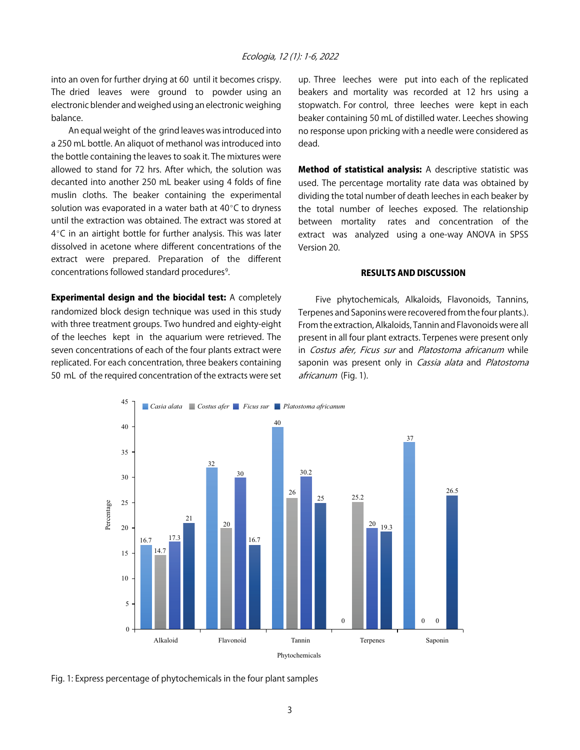into an oven for further drying at 60 until it becomes crispy. The dried leaves were ground to powder using an electronic blender and weighed using an electronic weighing balance.

An equal weight of the grind leaves was introduced into a 250 mL bottle. An aliquot of methanol was introduced into the bottle containing the leaves to soak it. The mixtures were allowed to stand for 72 hrs. After which, the solution was decanted into another 250 mL beaker using 4 folds of fine muslin cloths. The beaker containing the experimental solution was evaporated in a water bath at  $40^{\circ}$ C to dryness until the extraction was obtained. The extract was stored at  $4^{\circ}$ C in an airtight bottle for further analysis. This was later dissolved in acetone where different concentrations of the extract were prepared. Preparation of the different concentrations followed standard procedures<sup>9</sup>.

Experimental design and the biocidal test: A completely randomized block design technique was used in this study with three treatment groups. Two hundred and eighty-eight of the leeches kept in the aquarium were retrieved. The seven concentrations of each of the four plants extract were replicated. For each concentration, three beakers containing 50 mL of the required concentration of the extracts were set up. Three leeches were put into each of the replicated beakers and mortality was recorded at 12 hrs using a stopwatch. For control, three leeches were kept in each beaker containing 50 mL of distilled water. Leeches showing no response upon pricking with a needle were considered as dead.

Method of statistical analysis: A descriptive statistic was used. The percentage mortality rate data was obtained by dividing the total number of death leeches in each beaker by the total number of leeches exposed. The relationship between mortality rates and concentration of the extract was analyzed using a one-way ANOVA in SPSS Version 20.

#### RESULTS AND DISCUSSION

Five phytochemicals, Alkaloids, Flavonoids, Tannins, Terpenes and Saponins were recovered from the four plants.). From the extraction, Alkaloids, Tannin and Flavonoids were all present in all four plant extracts. Terpenes were present only in Costus afer, Ficus sur and Platostoma africanum while saponin was present only in Cassia alata and Platostoma africanum (Fig. 1).



Fig. 1: Express percentage of phytochemicals in the four plant samples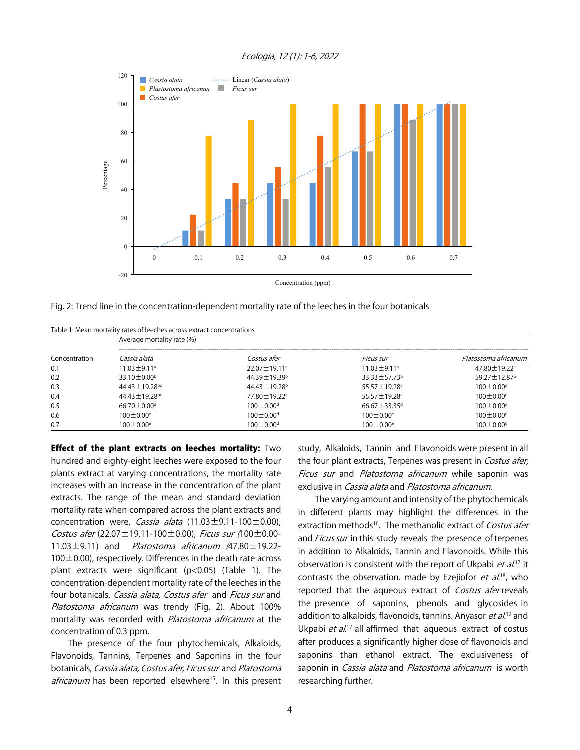#### Ecologia, 12 (1): 1-6, 2022



Concentration (ppm)

|  |  | Fig. 2: Trend line in the concentration-dependent mortality rate of the leeches in the four botanicals |  |  |  |  |  |
|--|--|--------------------------------------------------------------------------------------------------------|--|--|--|--|--|
|  |  |                                                                                                        |  |  |  |  |  |

|               | Table 1: Mean mortality rates of leeches across extract concentrations<br>Average mortality rate (%) |                                |                                |                                |  |  |  |  |  |  |
|---------------|------------------------------------------------------------------------------------------------------|--------------------------------|--------------------------------|--------------------------------|--|--|--|--|--|--|
| Concentration | Cassia alata                                                                                         | Costus afer                    | Ficus sur                      | Platostoma africanum           |  |  |  |  |  |  |
| 0.1           | $11.03 \pm 9.11$ <sup>a</sup>                                                                        | $22.07 \pm 19.11$ <sup>a</sup> | $11.03 \pm 9.11$ <sup>a</sup>  | 47.80 ± 19.22 <sup>a</sup>     |  |  |  |  |  |  |
| 0.2           | $33.10 \pm 0.00^{\circ}$                                                                             | $44.39 \pm 19.39^{\circ}$      | $33.33 \pm 57.73^b$            | $59.27 \pm 12.87$ <sup>b</sup> |  |  |  |  |  |  |
| 0.3           | $44.43 \pm 19.28$ <sup>bc</sup>                                                                      | $44.43 \pm 19.28$ <sup>b</sup> | 55.57 ± 19.28°                 | $100 \pm 0.00$ <sup>c</sup>    |  |  |  |  |  |  |
| 0.4           | $44.43 \pm 19.28$ bc                                                                                 | 77.80 ± 19.22c                 | 55.57 ± 19.28c                 | $100\pm0.00$                   |  |  |  |  |  |  |
| 0.5           | $66.70 \pm 0.00$ <sup>d</sup>                                                                        | $100 \pm 0.00$ <sup>d</sup>    | $66.67 \pm 33.35$ <sup>d</sup> | $100 \pm 0.00$ <sup>c</sup>    |  |  |  |  |  |  |
| 0.6           | $100 \pm 0.00^{\circ}$                                                                               | $100 \pm 0.00$ <sup>d</sup>    | $100 \pm 0.00^{\circ}$         | $100 \pm 0.00$ <sup>c</sup>    |  |  |  |  |  |  |
| 0.7           | $100 \pm 0.00^{\circ}$                                                                               | $100 \pm 0.00$ <sup>d</sup>    | $100 \pm 0.00^{\circ}$         | $100\pm0.00$ <sup>c</sup>      |  |  |  |  |  |  |

**Effect of the plant extracts on leeches mortality:** Two hundred and eighty-eight leeches were exposed to the four plants extract at varying concentrations, the mortality rate increases with an increase in the concentration of the plant extracts. The range of the mean and standard deviation mortality rate when compared across the plant extracts and concentration were, Cassia alata  $(11.03 \pm 9.11 - 100 \pm 0.00)$ , Costus afer  $(22.07 \pm 19.11 - 100 \pm 0.00)$ , Ficus sur  $(100 \pm 0.00 - 1)$ 11.03 $\pm$ 9.11) and *Platostoma africanum*  $(47.80 \pm 19.22 100\pm0.00$ ), respectively. Differences in the death rate across plant extracts were significant (p<0.05) (Table 1). The concentration-dependent mortality rate of the leeches in the four botanicals, Cassia alata, Costus afer and Ficus sur and Platostoma africanum was trendy (Fig. 2). About 100% mortality was recorded with *Platostoma africanum* at the concentration of 0.3 ppm.

The presence of the four phytochemicals, Alkaloids, Flavonoids, Tannins, Terpenes and Saponins in the four botanicals, Cassia alata, Costus afer, Ficus sur and Platostoma africanum has been reported elsewhere<sup>15</sup>. In this present

study, Alkaloids, Tannin and Flavonoids were present in all the four plant extracts, Terpenes was present in Costus afer, Ficus sur and Platostoma africanum while saponin was exclusive in *Cassia alata* and *Platostoma africanum*.

The varying amount and intensity of the phytochemicals in different plants may highlight the differences in the extraction methods<sup>16</sup>. The methanolic extract of Costus afer and *Ficus sur* in this study reveals the presence of terpenes in addition to Alkaloids, Tannin and Flavonoids. While this observation is consistent with the report of Ukpabi *et al.*<sup>17</sup> it contrasts the observation. made by Ezejiofor et al.<sup>18</sup>, who reported that the aqueous extract of Costus afer reveals the presence of saponins, phenols and glycosides in addition to alkaloids, flavonoids, tannins. Anyasor *et al*.<sup>19</sup> and Ukpabi et al.<sup>17</sup> all affirmed that aqueous extract of costus after produces a significantly higher dose of flavonoids and saponins than ethanol extract. The exclusiveness of saponin in Cassia alata and Platostoma africanum is worth researching further.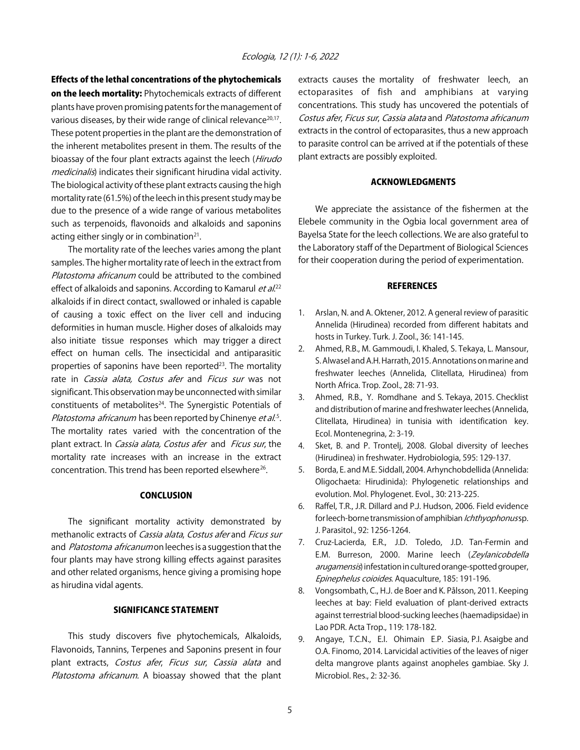Effects of the lethal concentrations of the phytochemicals on the leech mortality: Phytochemicals extracts of different plants have proven promising patents for the management of various diseases, by their wide range of clinical relevance<sup>20,17</sup>. These potent properties in the plant are the demonstration of the inherent metabolites present in them. The results of the bioassay of the four plant extracts against the leech (*Hirudo* medicinalis) indicates their significant hirudina vidal activity. The biological activity of these plant extracts causing the high mortality rate (61.5%) of the leech in this present study may be due to the presence of a wide range of various metabolites such as terpenoids, flavonoids and alkaloids and saponins acting either singly or in combination $21$ .

The mortality rate of the leeches varies among the plant samples. The higher mortality rate of leech in the extract from Platostoma africanum could be attributed to the combined effect of alkaloids and saponins. According to Kamarul *et al.*<sup>22</sup> alkaloids if in direct contact, swallowed or inhaled is capable of causing a toxic effect on the liver cell and inducing deformities in human muscle. Higher doses of alkaloids may also initiate tissue responses which may trigger a direct effect on human cells. The insecticidal and antiparasitic properties of saponins have been reported $23$ . The mortality rate in *Cassia alata, Costus afer* and *Ficus sur* was not significant. This observation may be unconnected with similar constituents of metabolites $24$ . The Synergistic Potentials of Platostoma africanum has been reported by Chinenye *et al.*<sup>5</sup>. The mortality rates varied with the concentration of the plant extract. In Cassia alata, Costus afer and Ficus sur, the mortality rate increases with an increase in the extract concentration. This trend has been reported elsewhere<sup>26</sup>.

#### **CONCLUSION**

The significant mortality activity demonstrated by methanolic extracts of Cassia alata, Costus afer and Ficus sur and Platostoma africanum on leeches is a suggestion that the four plants may have strong killing effects against parasites and other related organisms, hence giving a promising hope as hirudina vidal agents.

#### SIGNIFICANCE STATEMENT

This study discovers five phytochemicals, Alkaloids, Flavonoids, Tannins, Terpenes and Saponins present in four plant extracts, Costus afer, Ficus sur, Cassia alata and Platostoma africanum. A bioassay showed that the plant extracts causes the mortality of freshwater leech, an ectoparasites of fish and amphibians at varying concentrations. This study has uncovered the potentials of Costus afer, Ficus sur, Cassia alata and Platostoma africanum extracts in the control of ectoparasites, thus a new approach to parasite control can be arrived at if the potentials of these plant extracts are possibly exploited.

#### ACKNOWLEDGMENTS

We appreciate the assistance of the fishermen at the Elebele community in the Ogbia local government area of Bayelsa State for the leech collections. We are also grateful to the Laboratory staff of the Department of Biological Sciences for their cooperation during the period of experimentation.

#### **REFERENCES**

- 1. Arslan, N. and A. Oktener, 2012. A general review of parasitic Annelida (Hirudinea) recorded from different habitats and hosts in Turkey. Turk. J. Zool., 36: 141-145.
- 2. Ahmed, R.B., M. Gammoudi, I. Khaled, S. Tekaya, L. Mansour, S. Alwasel and A.H. Harrath, 2015. Annotations on marine and freshwater leeches (Annelida, Clitellata, Hirudinea) from North Africa. Trop. Zool., 28: 71-93.
- 3. Ahmed, R.B., Y. Romdhane and S. Tekaya, 2015. Checklist and distribution of marine and freshwater leeches (Annelida, Clitellata, Hirudinea) in tunisia with identification key. Ecol. Montenegrina, 2: 3-19.
- 4. Sket, B. and P. Trontelj, 2008. Global diversity of leeches (Hirudinea) in freshwater. Hydrobiologia, 595: 129-137.
- 5. Borda, E. and M.E. Siddall, 2004. Arhynchobdellida (Annelida: Oligochaeta: Hirudinida): Phylogenetic relationships and evolution. Mol. Phylogenet. Evol., 30: 213-225.
- 6. Raffel, T.R., J.R. Dillard and P.J. Hudson, 2006. Field evidence for leech-borne transmission of amphibian Ichthyophonus sp. J. Parasitol., 92: 1256-1264.
- 7. Cruz-Lacierda, E.R., J.D. Toledo, J.D. Tan-Fermin and E.M. Burreson, 2000. Marine leech (Zeylanicobdella arugamensis) infestation in cultured orange-spotted grouper, Epinephelus coioides. Aquaculture, 185: 191-196.
- 8. Vongsombath, C., H.J. de Boer and K. Pålsson, 2011. Keeping leeches at bay: Field evaluation of plant-derived extracts against terrestrial blood-sucking leeches (haemadipsidae) in Lao PDR. Acta Trop., 119: 178-182.
- 9. Angaye, T.C.N., E.I. Ohimain E.P. Siasia, P.I. Asaigbe and O.A. Finomo, 2014. Larvicidal activities of the leaves of niger delta mangrove plants against anopheles gambiae. Sky J. Microbiol. Res., 2: 32-36.